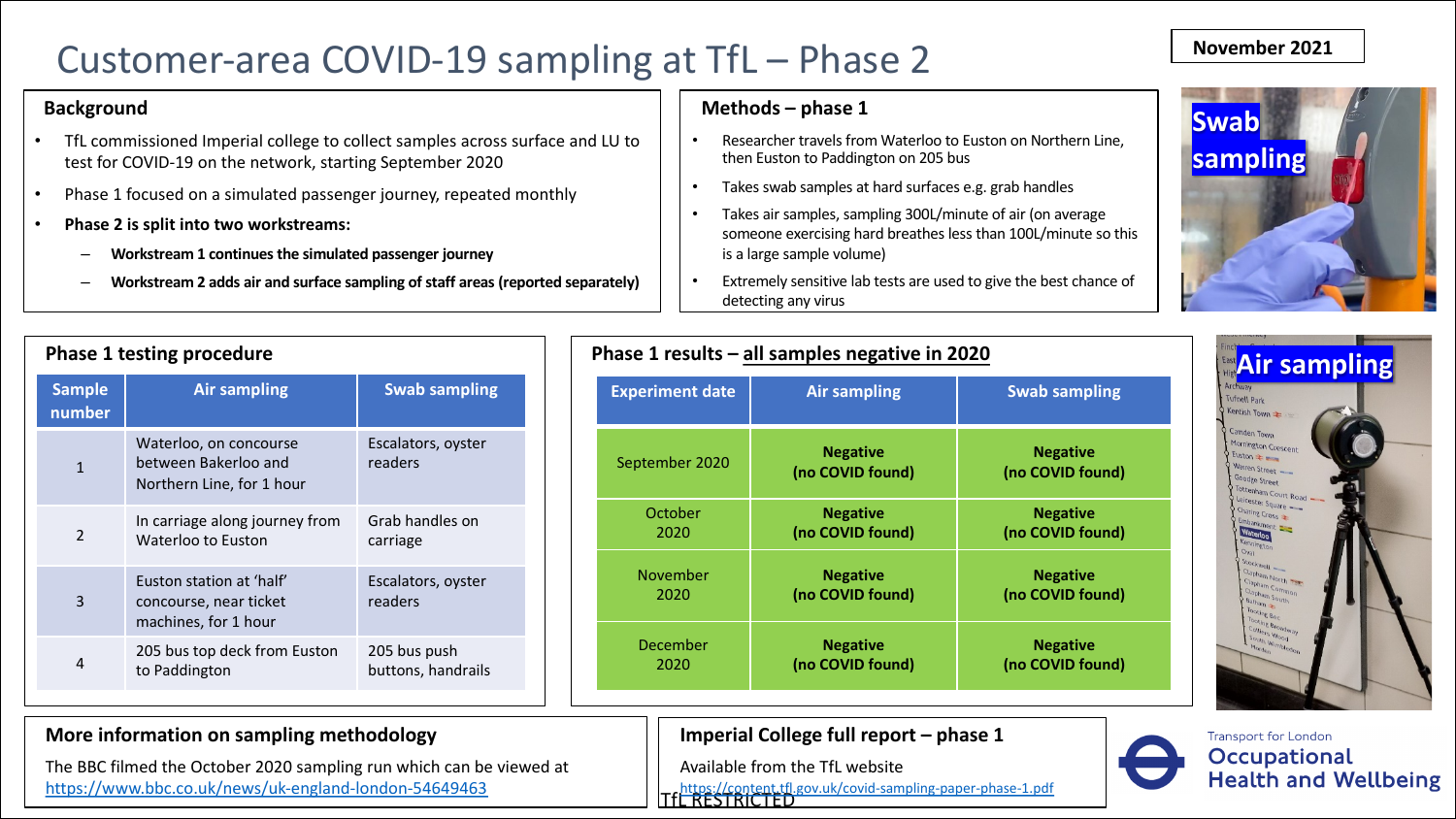## Customer-area COVID-19 sampling at TfL – Phase 2

#### **Background**

- TfL commissioned Imperial college to collect samples across surface and LU to test for COVID-19 on the network, starting September 2020
- Phase 1 focused on a simulated passenger journey, repeated monthly
- Phase 2 is split into two workstreams:
	- **Workstream 1 continues the simulated passenger journey**
	- Workstream 2 adds air and surface sampling of staff areas (reported separately)

#### **Methods – phase 1**

- Researcher travels from Waterlo then Euston to Paddington on 2
- Takes swab samples at hard sur
- Takes air samples, sampling 300 someone exercising hard breath is a large sample volume)
- Extremely sensitive lab tests are detecting any virus

|                         | <b>Phase 1 testing procedure</b>                                            |                                    |
|-------------------------|-----------------------------------------------------------------------------|------------------------------------|
| <b>Sample</b><br>number | <b>Air sampling</b>                                                         | <b>Swab sampling</b>               |
| $\mathbf{1}$            | Waterloo, on concourse<br>between Bakerloo and<br>Northern Line, for 1 hour | Escalators, oyster<br>readers      |
| $\mathfrak{D}$          | In carriage along journey from<br>Waterloo to Euston                        | Grab handles on<br>carriage        |
| 3                       | Euston station at 'half'<br>concourse, near ticket<br>machines, for 1 hour  | Escalators, oyster<br>readers      |
| 4                       | 205 bus top deck from Euston<br>to Paddington                               | 205 bus push<br>buttons, handrails |

### **More information on sampling methodology**

The BBC filmed the October 2020 sampling run which can be viewed at https://www.bbc.co.uk/news/uk-england-london-54649463

### **Phase 1 results – all samples negative**

| <b>Experiment date</b> | <b>Air sampling</b>                 |
|------------------------|-------------------------------------|
| September 2020         | <b>Negative</b><br>(no COVID found) |
| October                | <b>Negative</b>                     |
| 2020                   | (no COVID found)                    |
| November               | <b>Negative</b>                     |
| 2020                   | (no COVID found)                    |
| December               | <b>Negative</b>                     |
| 2020                   | (no COVID found)                    |

### **Imperial College full report -**

nttps://content.tfl.gov.uk/covid-sampling-<br>TfL RESTRICTED Available from the TfL website